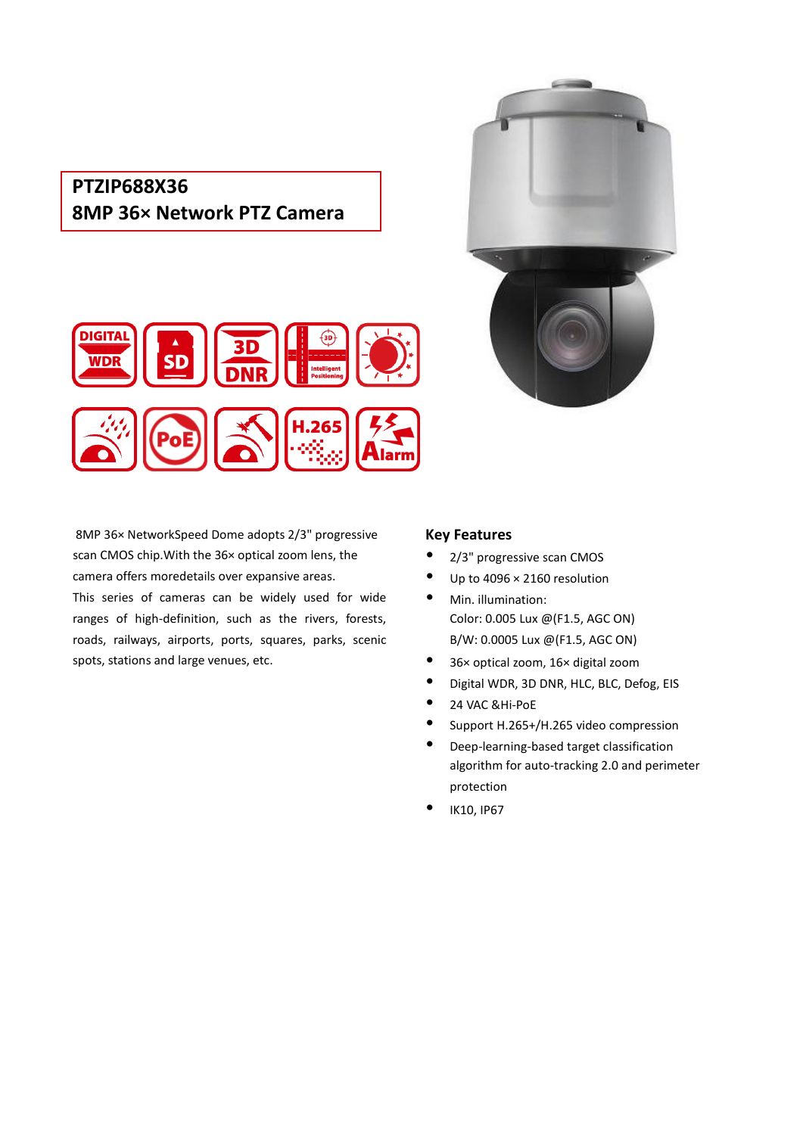## **PTZIP688X36 8MP 36× Network PTZ Camera**





8MP 36× NetworkSpeed Dome adopts 2/3" progressive scan CMOS chip.With the 36× optical zoom lens, the camera offers moredetails over expansive areas.

This series of cameras can be widely used for wide ranges of high-definition, such as the rivers, forests, roads, railways, airports, ports, squares, parks, scenic spots, stations and large venues, etc.

## **Key Features**

- 2/3" progressive scan CMOS
- Up to 4096 × 2160 resolution
- Min. illumination: Color: 0.005 Lux @(F1.5, AGC ON) B/W: 0.0005 Lux @(F1.5, AGC ON)
- 36× optical zoom, 16× digital zoom
- Digital WDR, 3D DNR, HLC, BLC, Defog, EIS
- 24 VAC &Hi-PoE
- Support H.265+/H.265 video compression
- Deep-learning-based target classification algorithm for auto-tracking 2.0 and perimeter protection
- IK10, IP67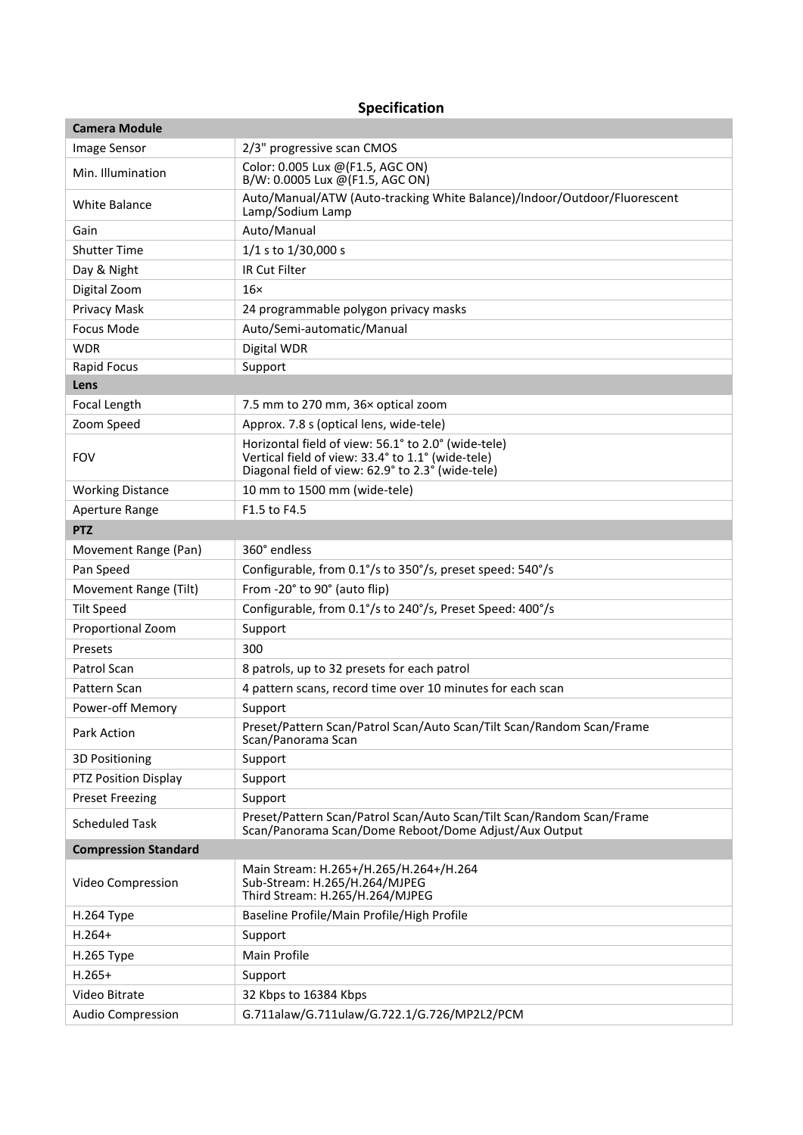## **Specification**

| <b>Camera Module</b>        |                                                                                                                                                               |
|-----------------------------|---------------------------------------------------------------------------------------------------------------------------------------------------------------|
| Image Sensor                | 2/3" progressive scan CMOS                                                                                                                                    |
| Min. Illumination           | Color: 0.005 Lux @(F1.5, AGC ON)<br>B/W: 0.0005 Lux @(F1.5, AGC ON)                                                                                           |
| White Balance               | Auto/Manual/ATW (Auto-tracking White Balance)/Indoor/Outdoor/Fluorescent<br>Lamp/Sodium Lamp                                                                  |
| Gain                        | Auto/Manual                                                                                                                                                   |
| <b>Shutter Time</b>         | 1/1 s to 1/30,000 s                                                                                                                                           |
| Day & Night                 | <b>IR Cut Filter</b>                                                                                                                                          |
| Digital Zoom                | $16\times$                                                                                                                                                    |
| Privacy Mask                | 24 programmable polygon privacy masks                                                                                                                         |
| Focus Mode                  | Auto/Semi-automatic/Manual                                                                                                                                    |
| <b>WDR</b>                  | Digital WDR                                                                                                                                                   |
| Rapid Focus                 | Support                                                                                                                                                       |
| Lens                        |                                                                                                                                                               |
| Focal Length                | 7.5 mm to 270 mm, 36x optical zoom                                                                                                                            |
| Zoom Speed                  | Approx. 7.8 s (optical lens, wide-tele)                                                                                                                       |
| <b>FOV</b>                  | Horizontal field of view: 56.1° to 2.0° (wide-tele)<br>Vertical field of view: 33.4° to 1.1° (wide-tele)<br>Diagonal field of view: 62.9° to 2.3° (wide-tele) |
| <b>Working Distance</b>     | 10 mm to 1500 mm (wide-tele)                                                                                                                                  |
| Aperture Range              | F1.5 to F4.5                                                                                                                                                  |
| <b>PTZ</b>                  |                                                                                                                                                               |
| Movement Range (Pan)        | 360° endless                                                                                                                                                  |
| Pan Speed                   | Configurable, from 0.1°/s to 350°/s, preset speed: 540°/s                                                                                                     |
| Movement Range (Tilt)       | From -20° to 90° (auto flip)                                                                                                                                  |
| <b>Tilt Speed</b>           | Configurable, from 0.1°/s to 240°/s, Preset Speed: 400°/s                                                                                                     |
| Proportional Zoom           | Support                                                                                                                                                       |
| Presets                     | 300                                                                                                                                                           |
| Patrol Scan                 | 8 patrols, up to 32 presets for each patrol                                                                                                                   |
| Pattern Scan                | 4 pattern scans, record time over 10 minutes for each scan                                                                                                    |
| Power-off Memory            | Support                                                                                                                                                       |
| Park Action                 | Preset/Pattern Scan/Patrol Scan/Auto Scan/Tilt Scan/Random Scan/Frame<br>Scan/Panorama Scan                                                                   |
| 3D Positioning              | Support                                                                                                                                                       |
| PTZ Position Display        | Support                                                                                                                                                       |
| <b>Preset Freezing</b>      | Support                                                                                                                                                       |
| <b>Scheduled Task</b>       | Preset/Pattern Scan/Patrol Scan/Auto Scan/Tilt Scan/Random Scan/Frame<br>Scan/Panorama Scan/Dome Reboot/Dome Adjust/Aux Output                                |
| <b>Compression Standard</b> |                                                                                                                                                               |
| Video Compression           | Main Stream: H.265+/H.265/H.264+/H.264<br>Sub-Stream: H.265/H.264/MJPEG<br>Third Stream: H.265/H.264/MJPEG                                                    |
| H.264 Type                  | Baseline Profile/Main Profile/High Profile                                                                                                                    |
| $H.264+$                    | Support                                                                                                                                                       |
| H.265 Type                  | Main Profile                                                                                                                                                  |
| $H.265+$                    | Support                                                                                                                                                       |
| Video Bitrate               | 32 Kbps to 16384 Kbps                                                                                                                                         |
| <b>Audio Compression</b>    | G.711alaw/G.711ulaw/G.722.1/G.726/MP2L2/PCM                                                                                                                   |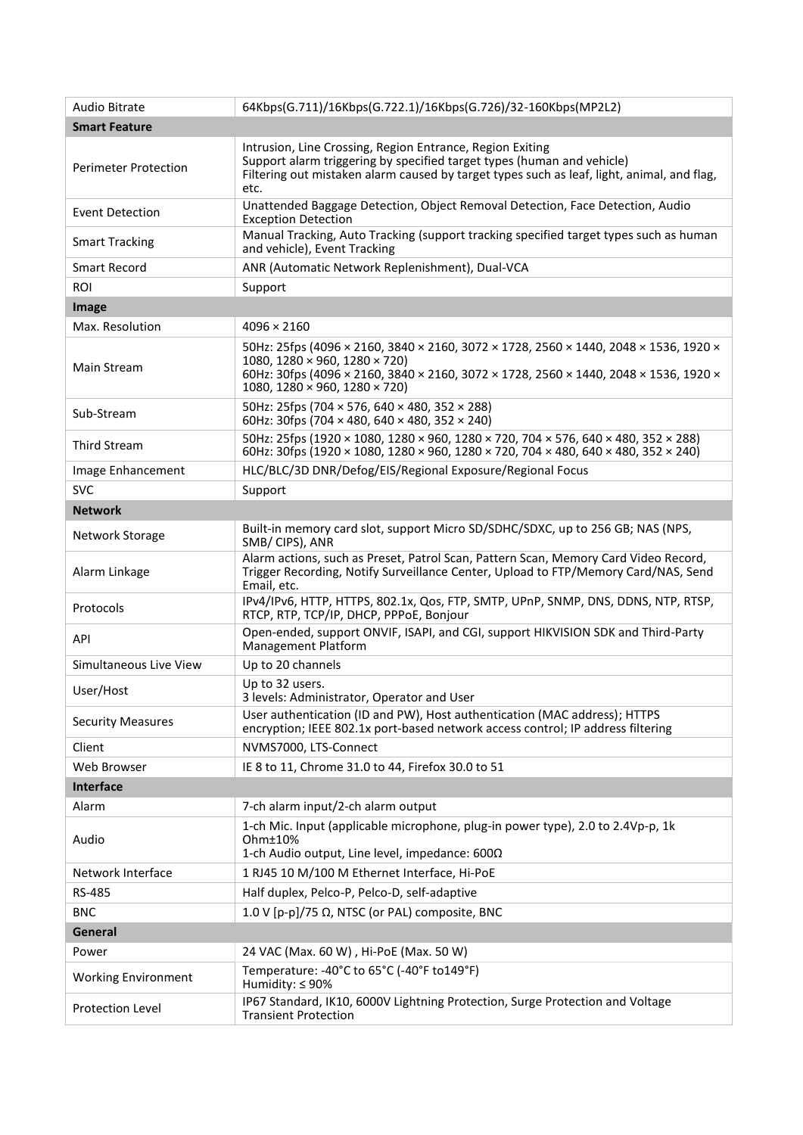| Audio Bitrate               | 64Kbps(G.711)/16Kbps(G.722.1)/16Kbps(G.726)/32-160Kbps(MP2L2)                                                                                                                                                                                                              |
|-----------------------------|----------------------------------------------------------------------------------------------------------------------------------------------------------------------------------------------------------------------------------------------------------------------------|
| <b>Smart Feature</b>        |                                                                                                                                                                                                                                                                            |
| <b>Perimeter Protection</b> | Intrusion, Line Crossing, Region Entrance, Region Exiting<br>Support alarm triggering by specified target types (human and vehicle)<br>Filtering out mistaken alarm caused by target types such as leaf, light, animal, and flag,<br>etc.                                  |
| Event Detection             | Unattended Baggage Detection, Object Removal Detection, Face Detection, Audio<br><b>Exception Detection</b>                                                                                                                                                                |
| <b>Smart Tracking</b>       | Manual Tracking, Auto Tracking (support tracking specified target types such as human<br>and vehicle), Event Tracking                                                                                                                                                      |
| <b>Smart Record</b>         | ANR (Automatic Network Replenishment), Dual-VCA                                                                                                                                                                                                                            |
| <b>ROI</b>                  | Support                                                                                                                                                                                                                                                                    |
| Image                       |                                                                                                                                                                                                                                                                            |
| Max. Resolution             | $4096 \times 2160$                                                                                                                                                                                                                                                         |
| Main Stream                 | 50Hz: 25fps (4096 × 2160, 3840 × 2160, 3072 × 1728, 2560 × 1440, 2048 × 1536, 1920 ×<br>1080, 1280 $\times$ 960, 1280 $\times$ 720)<br>60Hz: 30fps (4096 × 2160, 3840 × 2160, 3072 × 1728, 2560 × 1440, 2048 × 1536, 1920 ×<br>1080, 1280 $\times$ 960, 1280 $\times$ 720) |
| Sub-Stream                  | 50Hz: 25fps (704 × 576, 640 × 480, 352 × 288)<br>60Hz: 30fps (704 × 480, 640 × 480, 352 × 240)                                                                                                                                                                             |
| <b>Third Stream</b>         | 50Hz: 25fps (1920 × 1080, 1280 × 960, 1280 × 720, 704 × 576, 640 × 480, 352 × 288)<br>60Hz: 30fps (1920 × 1080, 1280 × 960, 1280 × 720, 704 × 480, 640 × 480, 352 × 240)                                                                                                   |
| Image Enhancement           | HLC/BLC/3D DNR/Defog/EIS/Regional Exposure/Regional Focus                                                                                                                                                                                                                  |
| <b>SVC</b>                  | Support                                                                                                                                                                                                                                                                    |
| <b>Network</b>              |                                                                                                                                                                                                                                                                            |
| Network Storage             | Built-in memory card slot, support Micro SD/SDHC/SDXC, up to 256 GB; NAS (NPS,<br>SMB/CIPS), ANR                                                                                                                                                                           |
| Alarm Linkage               | Alarm actions, such as Preset, Patrol Scan, Pattern Scan, Memory Card Video Record,<br>Trigger Recording, Notify Surveillance Center, Upload to FTP/Memory Card/NAS, Send<br>Email, etc.                                                                                   |
| Protocols                   | IPv4/IPv6, HTTP, HTTPS, 802.1x, Qos, FTP, SMTP, UPnP, SNMP, DNS, DDNS, NTP, RTSP,<br>RTCP, RTP, TCP/IP, DHCP, PPPoE, Bonjour                                                                                                                                               |
| API                         | Open-ended, support ONVIF, ISAPI, and CGI, support HIKVISION SDK and Third-Party<br><b>Management Platform</b>                                                                                                                                                             |
| Simultaneous Live View      | Up to 20 channels                                                                                                                                                                                                                                                          |
| User/Host                   | Up to 32 users.<br>3 levels: Administrator, Operator and User                                                                                                                                                                                                              |
| <b>Security Measures</b>    | User authentication (ID and PW), Host authentication (MAC address); HTTPS<br>encryption; IEEE 802.1x port-based network access control; IP address filtering                                                                                                               |
| Client                      | NVMS7000, LTS-Connect                                                                                                                                                                                                                                                      |
| Web Browser                 | IE 8 to 11, Chrome 31.0 to 44, Firefox 30.0 to 51                                                                                                                                                                                                                          |
| <b>Interface</b>            |                                                                                                                                                                                                                                                                            |
| Alarm                       | 7-ch alarm input/2-ch alarm output                                                                                                                                                                                                                                         |
| Audio                       | 1-ch Mic. Input (applicable microphone, plug-in power type), 2.0 to 2.4Vp-p, 1k<br>Ohm±10%<br>1-ch Audio output, Line level, impedance: 600Ω                                                                                                                               |
| Network Interface           | 1 RJ45 10 M/100 M Ethernet Interface, Hi-PoE                                                                                                                                                                                                                               |
| <b>RS-485</b>               | Half duplex, Pelco-P, Pelco-D, self-adaptive                                                                                                                                                                                                                               |
| <b>BNC</b>                  | 1.0 V [p-p]/75 $\Omega$ , NTSC (or PAL) composite, BNC                                                                                                                                                                                                                     |
| General                     |                                                                                                                                                                                                                                                                            |
| Power                       | 24 VAC (Max. 60 W), Hi-PoE (Max. 50 W)                                                                                                                                                                                                                                     |
| <b>Working Environment</b>  | Temperature: -40°C to 65°C (-40°F to149°F)<br>Humidity: ≤ 90%                                                                                                                                                                                                              |
| Protection Level            | IP67 Standard, IK10, 6000V Lightning Protection, Surge Protection and Voltage<br><b>Transient Protection</b>                                                                                                                                                               |